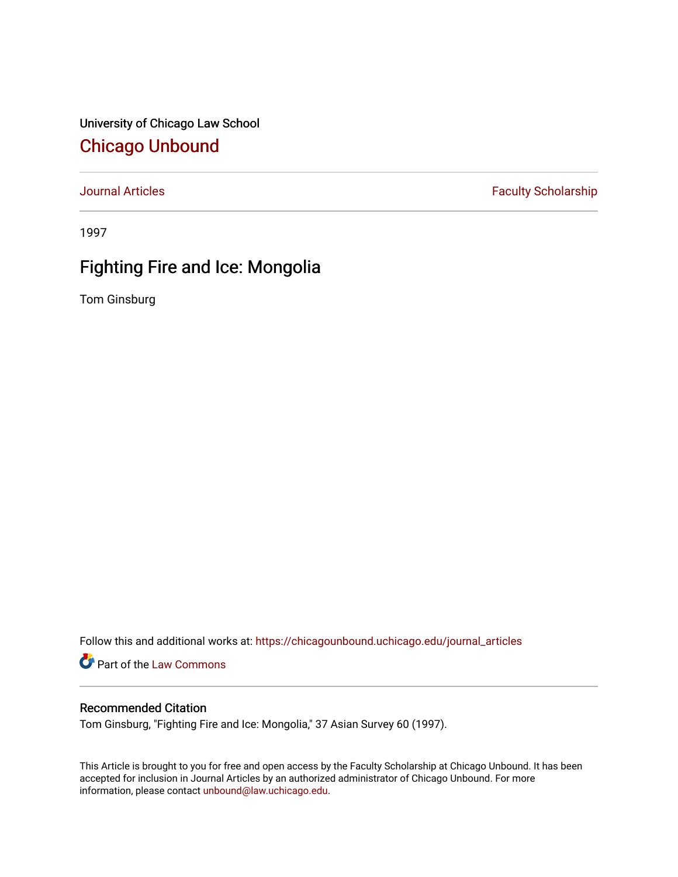University of Chicago Law School [Chicago Unbound](https://chicagounbound.uchicago.edu/)

[Journal Articles](https://chicagounbound.uchicago.edu/journal_articles) **Faculty Scholarship Faculty Scholarship** 

1997

# Fighting Fire and Ice: Mongolia

Tom Ginsburg

Follow this and additional works at: [https://chicagounbound.uchicago.edu/journal\\_articles](https://chicagounbound.uchicago.edu/journal_articles?utm_source=chicagounbound.uchicago.edu%2Fjournal_articles%2F246&utm_medium=PDF&utm_campaign=PDFCoverPages) 

Part of the [Law Commons](http://network.bepress.com/hgg/discipline/578?utm_source=chicagounbound.uchicago.edu%2Fjournal_articles%2F246&utm_medium=PDF&utm_campaign=PDFCoverPages)

### Recommended Citation

Tom Ginsburg, "Fighting Fire and Ice: Mongolia," 37 Asian Survey 60 (1997).

This Article is brought to you for free and open access by the Faculty Scholarship at Chicago Unbound. It has been accepted for inclusion in Journal Articles by an authorized administrator of Chicago Unbound. For more information, please contact [unbound@law.uchicago.edu](mailto:unbound@law.uchicago.edu).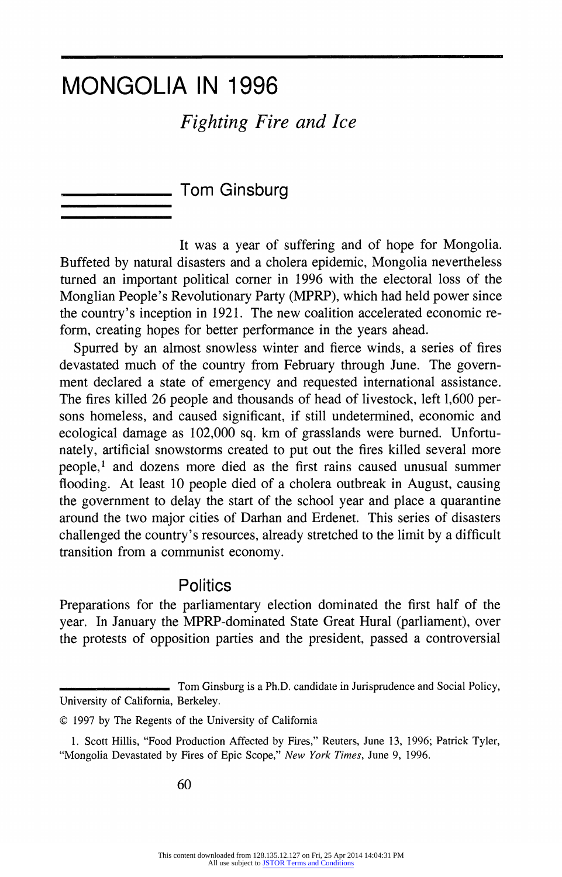# MONGOLIA IN 1996

# Fighting Fire and Ice

Tom Ginsburg

It was a year of suffering and of hope for Mongolia. Buffeted by natural disasters and a cholera epidemic, Mongolia nevertheless turned an important political corner in 1996 with the electoral loss of the Monglian People's Revolutionary Party (MPRP), which had held power since the country's inception in 1921. The new coalition accelerated economic reform, creating hopes for better performance in the years ahead.

Spurred by an almost snowless winter and fierce winds, a series of fires devastated much of the country from February through June. The government declared a state of emergency and requested international assistance. The fires killed 26 people and thousands of head of livestock, left 1,600 persons homeless, and caused significant, if still undetermined, economic and ecological damage as 102,000 sq. km of grasslands were burned. Unfortunately, artificial snowstorms created to put out the fires killed several more people,<sup>1</sup> and dozens more died as the first rains caused unusual summer flooding. At least 10 people died of a cholera outbreak in August, causing the government to delay the start of the school year and place a quarantine around the two major cities of Darhan and Erdenet. This series of disasters challenged the country's resources, already stretched to the limit by a difficult transition from a communist economy.

### **Politics**

Preparations for the parliamentary election dominated the first half of the year. In January the MPRP-dominated State Great Hural (parliament), over the protests of opposition parties and the president, passed a controversial

Tom Ginsburg is a Ph.D. candidate in Jurisprudence and Social Policy, University of California, Berkeley.

<sup>? 1997</sup> by The Regents of the University of California

<sup>1.</sup> Scott Hillis, "Food Production Affected by Fires," Reuters, June 13, 1996; Patrick Tyler, "Mongolia Devastated by Fires of Epic Scope," New York Times, June 9, 1996.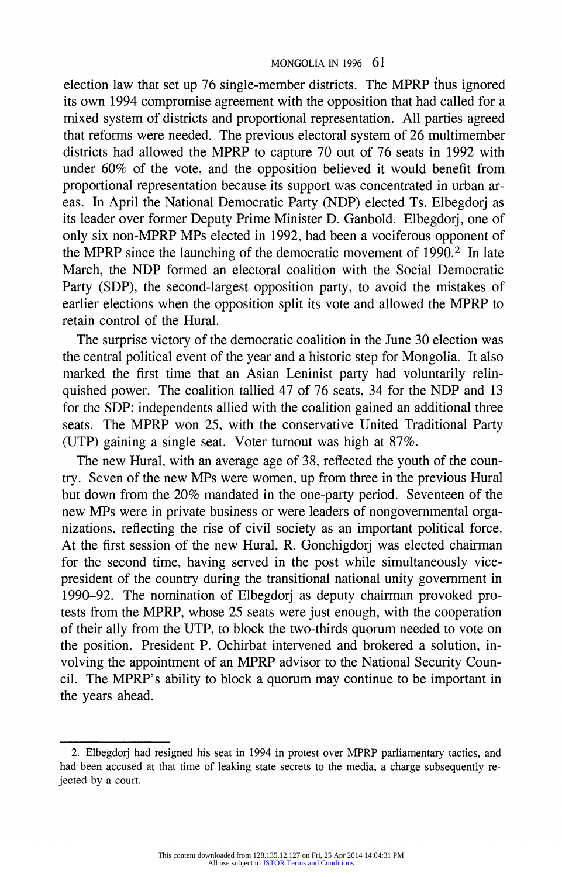#### MONGOLIA IN 1996 61

election law that set up 76 single-member districts. The MPRP thus ignored its own 1994 compromise agreement with the opposition that had called for a mixed system of districts and proportional representation. All parties agreed that reforms were needed. The previous electoral system of 26 multimember districts had allowed the MPRP to capture 70 out of 76 seats in 1992 with under 60% of the vote, and the opposition believed it would benefit from proportional representation because its support was concentrated in urban areas. In April the National Democratic Party (NDP) elected Ts. Elbegdorj as its leader over former Deputy Prime Minister D. Ganbold. Elbegdorj, one of only six non-MPRP MPs elected in 1992, had been a vociferous opponent of the MPRP since the launching of the democratic movement of  $1990<sup>2</sup>$ . In late March, the NDP formed an electoral coalition with the Social Democratic Party (SDP), the second-largest opposition party, to avoid the mistakes of earlier elections when the opposition split its vote and allowed the MPRP to retain control of the Hural.

The surprise victory of the democratic coalition in the June 30 election was the central political event of the year and a historic step for Mongolia. It also marked the first time that an Asian Leninist party had voluntarily relinquished power. The coalition tallied 47 of 76 seats, 34 for the NDP and 13 for the SDP; independents allied with the coalition gained an additional three seats. The MPRP won 25, with the conservative United Traditional Party (UTP) gaining a single seat. Voter turnout was high at 87%.

The new Hural, with an average age of 38, reflected the youth of the country. Seven of the new MPs were women, up from three in the previous Hural but down from the 20% mandated in the one-party period. Seventeen of the new MPs were in private business or were leaders of nongovernmental organizations, reflecting the rise of civil society as an important political force. At the first session of the new Hural, R. Gonchigdorj was elected chairman for the second time, having served in the post while simultaneously vicepresident of the country during the transitional national unity government in 1990-92. The nomination of Elbegdorj as deputy chairman provoked protests from the MPRP, whose 25 seats were just enough, with the cooperation of their ally from the UTP, to block the two-thirds quorum needed to vote on the position. President P. Ochirbat intervened and brokered a solution, involving the appointment of an MPRP advisor to the National Security Council. The MPRP's ability to block a quorum may continue to be important in the years ahead.

<sup>2.</sup> Elbegdorj had resigned his seat in 1994 in protest over MPRP parliamentary tactics, and had been accused at that time of leaking state secrets to the media, a charge subsequently rejected by a court.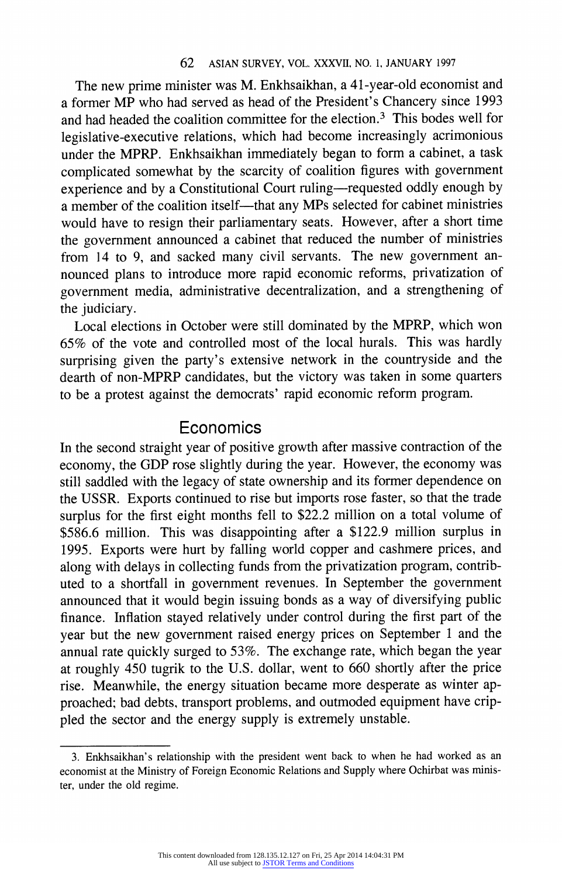The new prime minister was M. Enkhsaikhan, a 41-year-old economist and a former MP who had served as head of the President's Chancery since 1993 and had headed the coalition committee for the election.3 This bodes well for legislative-executive relations, which had become increasingly acrimonious under the MPRP. Enkhsaikhan immediately began to form a cabinet, a task complicated somewhat by the scarcity of coalition figures with government experience and by a Constitutional Court ruling-requested oddly enough by a member of the coalition itself—that any MPs selected for cabinet ministries would have to resign their parliamentary seats. However, after a short time the government announced a cabinet that reduced the number of ministries from 14 to 9, and sacked many civil servants. The new government announced plans to introduce more rapid economic reforms, privatization of government media, administrative decentralization, and a strengthening of the judiciary.

Local elections in October were still dominated by the MPRP, which won 65% of the vote and controlled most of the local hurals. This was hardly surprising given the party's extensive network in the countryside and the dearth of non-MPRP candidates, but the victory was taken in some quarters to be a protest against the democrats' rapid economic reform program.

### **Economics**

In the second straight year of positive growth after massive contraction of the economy, the GDP rose slightly during the year. However, the economy was still saddled with the legacy of state ownership and its former dependence on the USSR. Exports continued to rise but imports rose faster, so that the trade surplus for the first eight months fell to \$22.2 million on a total volume of \$586.6 million. This was disappointing after a \$122.9 million surplus in 1995. Exports were hurt by falling world copper and cashmere prices, and along with delays in collecting funds from the privatization program, contributed to a shortfall in government revenues. In September the government announced that it would begin issuing bonds as a way of diversifying public finance. Inflation stayed relatively under control during the first part of the year but the new government raised energy prices on September 1 and the annual rate quickly surged to 53%. The exchange rate, which began the year at roughly 450 tugrik to the U.S. dollar, went to 660 shortly after the price rise. Meanwhile, the energy situation became more desperate as winter approached; bad debts, transport problems, and outmoded equipment have crippled the sector and the energy supply is extremely unstable.

<sup>3.</sup> Enkhsaikhan's relationship with the president went back to when he had worked as an economist at the Ministry of Foreign Economic Relations and Supply where Ochirbat was minister, under the old regime.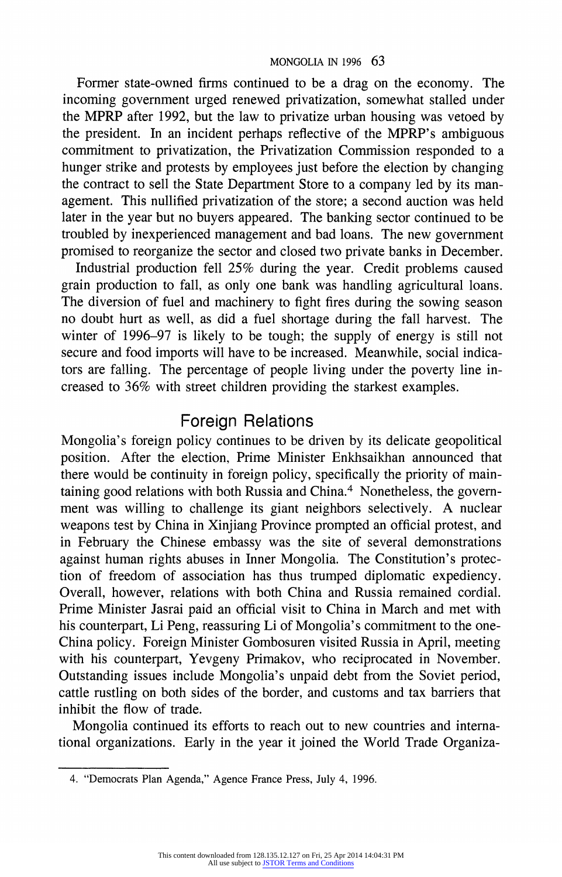Former state-owned firms continued to be a drag on the economy. The incoming government urged renewed privatization, somewhat stalled under the MPRP after 1992, but the law to privatize urban housing was vetoed by the president. In an incident perhaps reflective of the MPRP's ambiguous commitment to privatization, the Privatization Commission responded to a hunger strike and protests by employees just before the election by changing the contract to sell the State Department Store to a company led by its management. This nullified privatization of the store; a second auction was held later in the year but no buyers appeared. The banking sector continued to be troubled by inexperienced management and bad loans. The new government promised to reorganize the sector and closed two private banks in December.

Industrial production fell 25% during the year. Credit problems caused grain production to fall, as only one bank was handling agricultural loans. The diversion of fuel and machinery to fight fires during the sowing season no doubt hurt as well, as did a fuel shortage during the fall harvest. The winter of 1996-97 is likely to be tough; the supply of energy is still not secure and food imports will have to be increased. Meanwhile, social indicators are falling. The percentage of people living under the poverty line increased to 36% with street children providing the starkest examples.

## Foreign Relations

Mongolia's foreign policy continues to be driven by its delicate geopolitical position. After the election, Prime Minister Enkhsaikhan announced that there would be continuity in foreign policy, specifically the priority of maintaining good relations with both Russia and China.<sup>4</sup> Nonetheless, the government was willing to challenge its giant neighbors selectively. A nuclear weapons test by China in Xinjiang Province prompted an official protest, and in February the Chinese embassy was the site of several demonstrations against human rights abuses in Inner Mongolia. The Constitution's protection of freedom of association has thus trumped diplomatic expediency. Overall, however, relations with both China and Russia remained cordial. Prime Minister Jasrai paid an official visit to China in March and met with his counterpart, Li Peng, reassuring Li of Mongolia's commitment to the one-China policy. Foreign Minister Gombosuren visited Russia in April, meeting with his counterpart, Yevgeny Primakov, who reciprocated in November. Outstanding issues include Mongolia's unpaid debt from the Soviet period, cattle rustling on both sides of the border, and customs and tax barriers that inhibit the flow of trade.

Mongolia continued its efforts to reach out to new countries and international organizations. Early in the year it joined the World Trade Organiza-

<sup>4. &</sup>quot;Democrats Plan Agenda," Agence France Press, July 4, 1996.